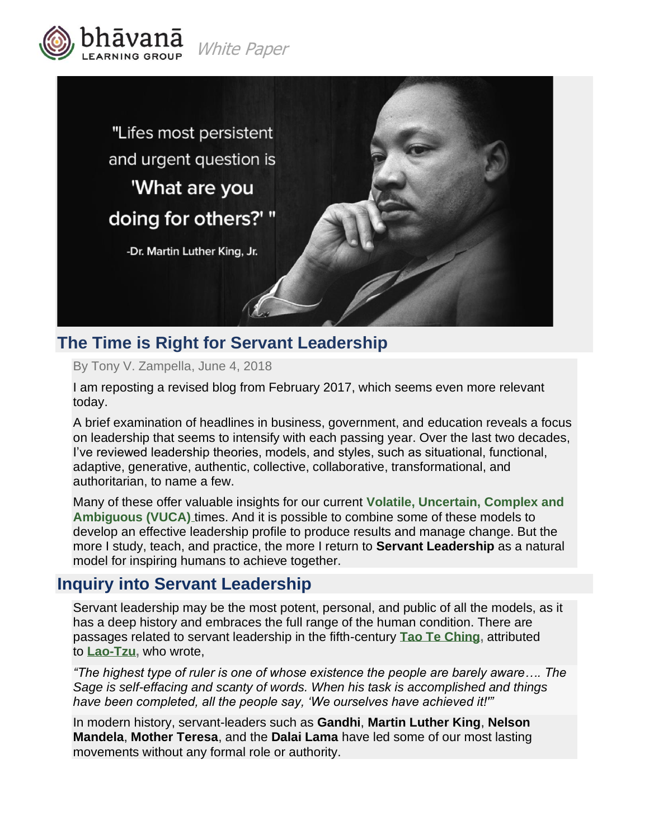



### **The Time is Right for Servant Leadership**

By Tony V. Zampella, June 4, 2018

I am reposting a revised blog from February 2017, which seems even more relevant today.

A brief examination of headlines in business, government, and education reveals a focus on leadership that seems to intensify with each passing year. Over the last two decades, I've reviewed leadership theories, models, and styles, such as situational, functional, adaptive, generative, authentic, collective, collaborative, transformational, and authoritarian, to name a few.

Many of these offer valuable insights for our current **[Volatile, Uncertain, Complex and](https://en.wikipedia.org/wiki/Volatility,_uncertainty,_complexity_and_ambiguity)  [Ambiguous \(VUCA\)](https://en.wikipedia.org/wiki/Volatility,_uncertainty,_complexity_and_ambiguity)** times. And it is possible to combine some of these models to develop an effective leadership profile to produce results and manage change. But the more I study, teach, and practice, the more I return to **Servant Leadership** as a natural model for inspiring humans to achieve together.

#### **Inquiry into Servant Leadership**

Servant leadership may be the most potent, personal, and public of all the models, as it has a deep history and embraces the full range of the human condition. There are passages related to servant leadership in the fifth-century **[Tao Te Ching,](https://en.wikipedia.org/wiki/Tao_Te_Ching)** attributed to **[Lao-Tzu,](https://en.wikipedia.org/wiki/Lao-Tzu)** who wrote,

*"The highest type of ruler is one of whose existence the people are barely aware…. The Sage is self-effacing and scanty of words. When his task is accomplished and things have been completed, all the people say, 'We ourselves have achieved it!'"*

In modern history, servant-leaders such as **Gandhi**, **Martin Luther King**, **Nelson Mandela**, **Mother Teresa**, and the **Dalai Lama** have led some of our most lasting movements without any formal role or authority.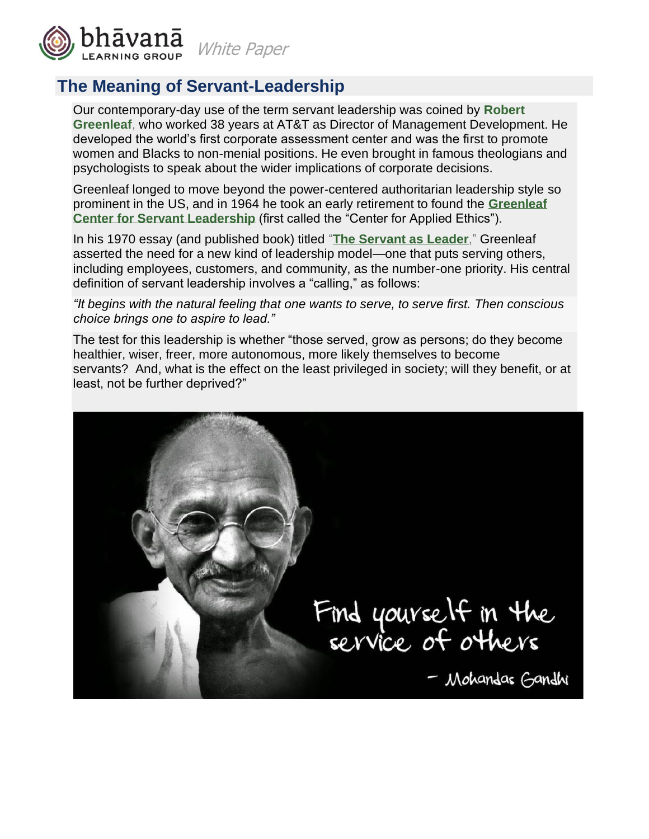

# **The Meaning of Servant-Leadership**

Our contemporary-day use of the term servant leadership was coined by **[Robert](https://en.wikipedia.org/wiki/Robert_K._Greenleaf)  [Greenleaf](https://en.wikipedia.org/wiki/Robert_K._Greenleaf)**, who worked 38 years at AT&T as Director of Management Development. He developed the world's first corporate assessment center and was the first to promote women and Blacks to non-menial positions. He even brought in famous theologians and psychologists to speak about the wider implications of corporate decisions.

Greenleaf longed to move beyond the power-centered authoritarian leadership style so prominent in the US, and in 1964 he took an early retirement to found the **[Greenleaf](https://www.greenleaf.org/)  [Center for Servant Leadership](https://www.greenleaf.org/)** (first called the "Center for Applied Ethics").

In his 1970 essay (and published book) titled "**The Servant [as Leader](https://www.amazon.com/Servant-as-Leader-Robert-Greenleaf/dp/0982201222/ref=sr_1_2?s=pc&ie=UTF8&qid=1486774077&sr=8-2&keywords=greenleaf%2C+robert)**," Greenleaf asserted the need for a new kind of leadership model—one that puts serving others, including employees, customers, and community, as the number-one priority. His central definition of servant leadership involves a "calling," as follows:

*"It begins with the natural feeling that one wants to serve, to serve first. Then conscious choice brings one to aspire to lead."*

The test for this leadership is whether "those served, grow as persons; do they become healthier, wiser, freer, more autonomous, more likely themselves to become servants? And, what is the effect on the least privileged in society; will they benefit, or at least, not be further deprived?"

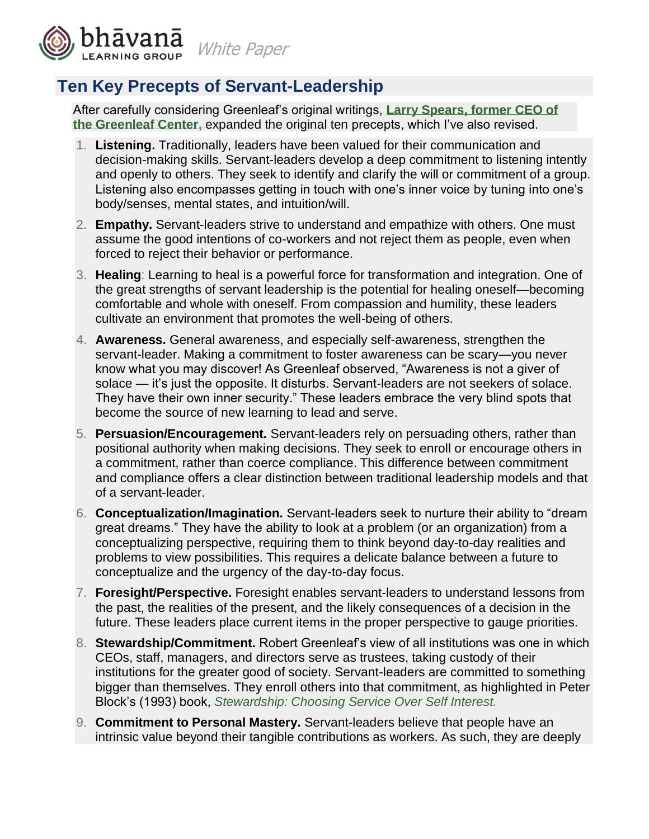

# **Ten Key Precepts of Servant-Leadership**

After carefully considering Greenleaf's original writings, **[Larry Spears, former CEO of](https://www.regent.edu/acad/global/publications/sl_proceedings/2005/spears_practice.pdf)  [the Greenleaf Center,](https://www.regent.edu/acad/global/publications/sl_proceedings/2005/spears_practice.pdf)** expanded the original ten precepts, which I've also revised.

- 1. **Listening.** Traditionally, leaders have been valued for their communication and decision-making skills. Servant-leaders develop a deep commitment to listening intently and openly to others. They seek to identify and clarify the will or commitment of a group. Listening also encompasses getting in touch with one's inner voice by tuning into one's body/senses, mental states, and intuition/will.
- 2. **Empathy.** Servant-leaders strive to understand and empathize with others. One must assume the good intentions of co-workers and not reject them as people, even when forced to reject their behavior or performance.
- 3. **Healing**: Learning to heal is a powerful force for transformation and integration. One of the great strengths of servant leadership is the potential for healing oneself—becoming comfortable and whole with oneself. From compassion and humility, these leaders cultivate an environment that promotes the well-being of others.
- 4. **Awareness.** General awareness, and especially self-awareness, strengthen the servant-leader. Making a commitment to foster awareness can be scary—you never know what you may discover! As Greenleaf observed, "Awareness is not a giver of solace — it's just the opposite. It disturbs. Servant-leaders are not seekers of solace. They have their own inner security." These leaders embrace the very blind spots that become the source of new learning to lead and serve.
- 5. **Persuasion/Encouragement.** Servant-leaders rely on persuading others, rather than positional authority when making decisions. They seek to enroll or encourage others in a commitment, rather than coerce compliance. This difference between commitment and compliance offers a clear distinction between traditional leadership models and that of a servant-leader.
- 6. **Conceptualization/Imagination.** Servant-leaders seek to nurture their ability to "dream great dreams." They have the ability to look at a problem (or an organization) from a conceptualizing perspective, requiring them to think beyond day-to-day realities and problems to view possibilities. This requires a delicate balance between a future to conceptualize and the urgency of the day-to-day focus.
- 7. **Foresight/Perspective.** Foresight enables servant-leaders to understand lessons from the past, the realities of the present, and the likely consequences of a decision in the future. These leaders place current items in the proper perspective to gauge priorities.
- 8. **Stewardship/Commitment.** Robert Greenleaf's view of all institutions was one in which CEOs, staff, managers, and directors serve as trustees, taking custody of their institutions for the greater good of society. Servant-leaders are committed to something bigger than themselves. They enroll others into that commitment, as highlighted in Peter Block's (1993) book, *[Stewardship: Choosing Service Over Self Interest.](https://www.amazon.com/Stewardship-Choosing-Service-Over-Interest/dp/1881052869)*
- 9. **Commitment to Personal Mastery.** Servant-leaders believe that people have an intrinsic value beyond their tangible contributions as workers. As such, they are deeply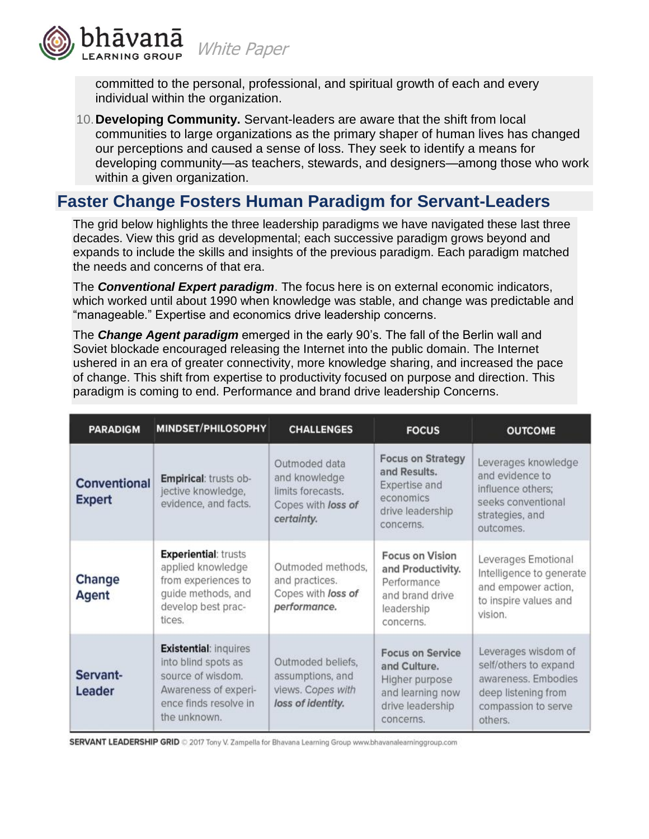

committed to the personal, professional, and spiritual growth of each and every individual within the organization.

10.**Developing Community.** Servant-leaders are aware that the shift from local communities to large organizations as the primary shaper of human lives has changed our perceptions and caused a sense of loss. They seek to identify a means for developing community—as teachers, stewards, and designers—among those who work within a given organization.

### **Faster Change Fosters Human Paradigm for Servant-Leaders**

The grid below highlights the three leadership paradigms we have navigated these last three decades. View this grid as developmental; each successive paradigm grows beyond and expands to include the skills and insights of the previous paradigm. Each paradigm matched the needs and concerns of that era.

The *Conventional Expert paradigm*. The focus here is on external economic indicators, which worked until about 1990 when knowledge was stable, and change was predictable and "manageable." Expertise and economics drive leadership concerns.

The *Change Agent paradigm* emerged in the early 90's. The fall of the Berlin wall and Soviet blockade encouraged releasing the Internet into the public domain. The Internet ushered in an era of greater connectivity, more knowledge sharing, and increased the pace of change. This shift from expertise to productivity focused on purpose and direction. This paradigm is coming to end. Performance and brand drive leadership Concerns.

| <b>PARADIGM</b>                      | MINDSET/PHILOSOPHY                                                                                                                        | <b>CHALLENGES</b>                                                                       | <b>FOCUS</b>                                                                                                   | <b>OUTCOME</b>                                                                                                               |
|--------------------------------------|-------------------------------------------------------------------------------------------------------------------------------------------|-----------------------------------------------------------------------------------------|----------------------------------------------------------------------------------------------------------------|------------------------------------------------------------------------------------------------------------------------------|
| <b>Conventional</b><br><b>Expert</b> | Empirical: trusts ob-<br>jective knowledge,<br>evidence, and facts.                                                                       | Outmoded data<br>and knowledge<br>limits forecasts.<br>Copes with loss of<br>certainty. | <b>Focus on Strategy</b><br>and Results.<br><b>Expertise and</b><br>economics<br>drive leadership<br>concerns. | Leverages knowledge<br>and evidence to<br>influence others;<br>seeks conventional<br>strategies, and<br>outcomes.            |
| Change<br>Agent                      | <b>Experiential: trusts</b><br>applied knowledge<br>from experiences to<br>guide methods, and<br>develop best prac-<br>tices.             | Outmoded methods,<br>and practices.<br>Copes with loss of<br>performance.               | <b>Focus on Vision</b><br>and Productivity.<br>Performance<br>and brand drive<br>leadership<br>concerns.       | Leverages Emotional<br>Intelligence to generate<br>and empower action,<br>to inspire values and<br>vision.                   |
| Servant-<br>Leader                   | <b>Existential: inquires</b><br>into blind spots as<br>source of wisdom.<br>Awareness of experi-<br>ence finds resolve in<br>the unknown. | Outmoded beliefs,<br>assumptions, and<br>views. Copes with<br>loss of identity.         | <b>Focus on Service</b><br>and Culture.<br>Higher purpose<br>and learning now<br>drive leadership<br>concerns. | Leverages wisdom of<br>self/others to expand<br>awareness. Embodies<br>deep listening from<br>compassion to serve<br>others. |

SERVANT LEADERSHIP GRID @ 2017 Tony V. Zampella for Bhavana Learning Group www.bhavanalearninggroup.com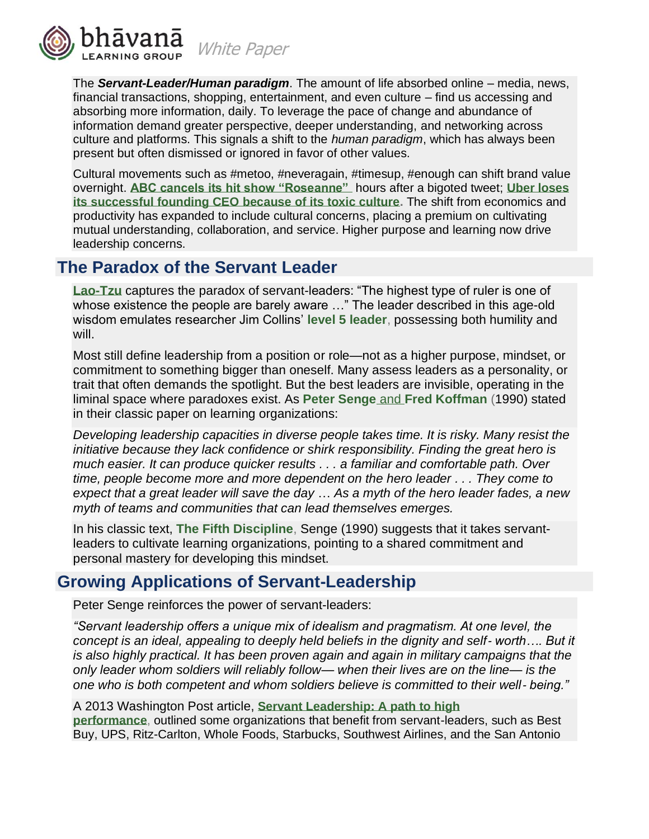

The *Servant-Leader/Human paradigm*. The amount of life absorbed online – media, news, financial transactions, shopping, entertainment, and even culture – find us accessing and absorbing more information, daily. To leverage the pace of change and abundance of information demand greater perspective, deeper understanding, and networking across culture and platforms. This signals a shift to the *human paradigm*, which has always been present but often dismissed or ignored in favor of other values.

Cultural movements such as #metoo, #neveragain, #timesup, #enough can shift brand value overnight. **[ABC cancels its hit show "Roseanne"](https://www.nytimes.com/2018/05/29/business/media/roseanne-barr-offensive-tweets.html)** hours after a bigoted tweet; **[Uber loses](https://www.nytimes.com/2017/02/22/technology/uber-workplace-culture.html)  [its successful founding CEO](https://www.nytimes.com/2017/02/22/technology/uber-workplace-culture.html) because of its toxic culture.** The shift from economics and productivity has expanded to include cultural concerns, placing a premium on cultivating mutual understanding, collaboration, and service. Higher purpose and learning now drive leadership concerns.

#### **The Paradox of the Servant Leader**

**[Lao-Tzu](https://en.wikipedia.org/wiki/Lao-Tzu)** captures the paradox of servant-leaders: "The highest type of ruler is one of whose existence the people are barely aware …" The leader described in this age-old wisdom emulates researcher Jim Collins' **[level 5 leader](https://www.jimcollins.com/concepts/level-five-leadership.html)**, possessing both humility and will.

Most still define leadership from a position or role—not as a higher purpose, mindset, or commitment to something bigger than oneself. Many assess leaders as a personality, or trait that often demands the spotlight. But the best leaders are invisible, operating in the liminal space where paradoxes exist. As **Peter Senge** and **[Fred Koffman](https://bhavanalearninggroup.com/wp-content/uploads/communities-of-commitment.pdf)** (1990) stated in their classic paper on learning organizations:

*Developing leadership capacities in diverse people takes time. It is risky. Many resist the initiative because they lack confidence or shirk responsibility. Finding the great hero is much easier. It can produce quicker results . . . a familiar and comfortable path. Over time, people become more and more dependent on the hero leader . . . They come to expect that a great leader will save the day* … *As a myth of the hero leader fades, a new myth of teams and communities that can lead themselves emerges.*

In his classic text, **[The Fifth Discipline](https://www.amazon.com/Fifth-Discipline-Fieldbook-Strategies-Organization/dp/0385472560/ref=sr_1_3?s=books&ie=UTF8&qid=1486961834&sr=1-3&keywords=fifth+discipline)**, Senge (1990) suggests that it takes servantleaders to cultivate learning organizations, pointing to a shared commitment and personal mastery for developing this mindset.

### **Growing Applications of Servant-Leadership**

Peter Senge reinforces the power of servant-leaders:

*"Servant leadership offers a unique mix of idealism and pragmatism. At one level, the concept is an ideal, appealing to deeply held beliefs in the dignity and self-* worth.... But it *is also highly practical. It has been proven again and again in military campaigns that the only leader whom soldiers will reliably follow— when their lives are on the line— is the one who is both competent and whom soldiers believe is committed to their well*‐ *being."*

A 2013 Washington Post article, **[Servant Leadership: A path to high](https://www.washingtonpost.com/business/capitalbusiness/servant-leadership-a-path-to-high-performance/2013/04/26/435e58b2-a7b8-11e2-8302-3c7e0ea97057_story.html?utm_term=.cc442cb43cd3)  [performance](https://www.washingtonpost.com/business/capitalbusiness/servant-leadership-a-path-to-high-performance/2013/04/26/435e58b2-a7b8-11e2-8302-3c7e0ea97057_story.html?utm_term=.cc442cb43cd3)**, outlined some organizations that benefit from servant-leaders, such as Best Buy, UPS, Ritz-Carlton, Whole Foods, Starbucks, Southwest Airlines, and the San Antonio